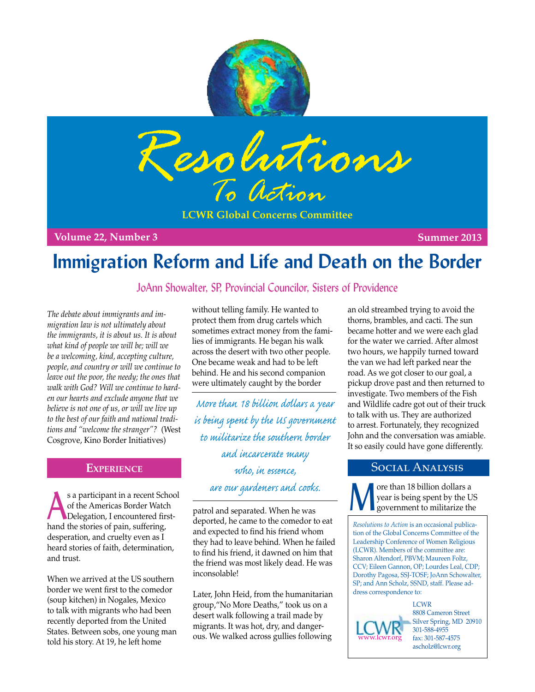



**LCWR Global Concerns Committee**

**Volume 22, Number 3 Summer 2013**

# **Immigration Reform and Life and Death on the Border**

## JoAnn Showalter, SP, Provincial Councilor, Sisters of Providence

*The debate about immigrants and immigration law is not ultimately about the immigrants, it is about us. It is about what kind of people we will be; will we be a welcoming, kind, accepting culture, people, and country or will we continue to leave out the poor, the needy; the ones that walk with God? Will we continue to harden our hearts and exclude anyone that we believe is not one of us, or will we live up to the best of our faith and national traditions and "welcome the stranger"?* (West Cosgrove, Kino Border Initiatives)

s a participant in a recent School<br>of the Americas Border Watch<br>Delegation, I encountered firstof the Americas Border Watch Delegation, I encountered firsthand the stories of pain, suffering, desperation, and cruelty even as I heard stories of faith, determination, and trust.

When we arrived at the US southern border we went first to the comedor (soup kitchen) in Nogales, Mexico to talk with migrants who had been recently deported from the United States. Between sobs, one young man told his story. At 19, he left home

without telling family. He wanted to protect them from drug cartels which sometimes extract money from the families of immigrants. He began his walk across the desert with two other people. One became weak and had to be left behind. He and his second companion were ultimately caught by the border

**EXPERIENCE** Who in exerce SOCIAL ANALYSIS *More than 18 billion dollars a year is being spent by the US government to militarize the southern border and incarcerate many who, in essence, are our gardeners and cooks.*

> patrol and separated. When he was deported, he came to the comedor to eat and expected to find his friend whom they had to leave behind. When he failed to find his friend, it dawned on him that the friend was most likely dead. He was inconsolable!

Later, John Heid, from the humanitarian group,"No More Deaths," took us on a desert walk following a trail made by migrants. It was hot, dry, and dangerous. We walked across gullies following

an old streambed trying to avoid the thorns, brambles, and cacti. The sun became hotter and we were each glad for the water we carried. After almost two hours, we happily turned toward the van we had left parked near the road. As we got closer to our goal, a pickup drove past and then returned to investigate. Two members of the Fish and Wildlife cadre got out of their truck to talk with us. They are authorized to arrest. Fortunately, they recognized John and the conversation was amiable. It so easily could have gone differently.

**M** ore than 18 billion dollars a year is being spent by the U government to militarize the year is being spent by the US government to militarize the

*Resolutions to Action* is an occasional publication of the Global Concerns Committee of the Leadership Conference of Women Religious (LCWR). Members of the committee are: Sharon Altendorf, PBVM; Maureen Foltz, CCV; Eileen Gannon, OP; Lourdes Leal, CDP; Dorothy Pagosa, SSJ-TOSF; JoAnn Schowalter, SP; and Ann Scholz, SSND, staff. Please address correspondence to:

www.lcwr.org

**LCWR** 8808 Cameron Street Silver Spring, MD 20910 301-588-4955 fax: 301-587-4575 ascholz@lcwr.org